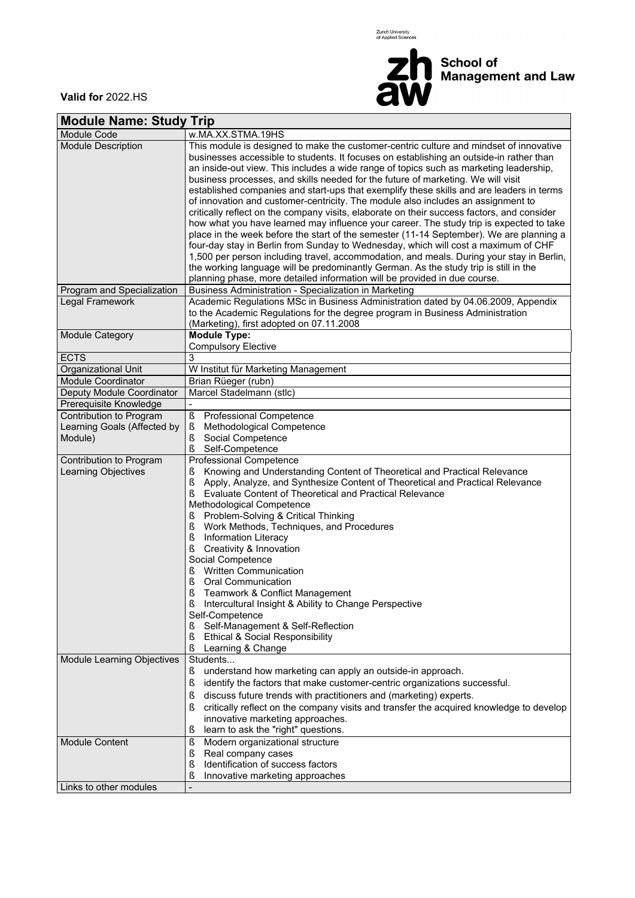Zurich University<br>of Applied Sciences



**Valid for** 2022.HS

| <b>Module Name: Study Trip</b>                                 |                                                                                                                                                                                                                                                                                                                                                                                                                                                                                                                                                                                                                                                                                                                                                                                                                                                                                                                                                                                                                                                                                                                                                                                                                                                     |  |  |  |  |  |
|----------------------------------------------------------------|-----------------------------------------------------------------------------------------------------------------------------------------------------------------------------------------------------------------------------------------------------------------------------------------------------------------------------------------------------------------------------------------------------------------------------------------------------------------------------------------------------------------------------------------------------------------------------------------------------------------------------------------------------------------------------------------------------------------------------------------------------------------------------------------------------------------------------------------------------------------------------------------------------------------------------------------------------------------------------------------------------------------------------------------------------------------------------------------------------------------------------------------------------------------------------------------------------------------------------------------------------|--|--|--|--|--|
| Module Code                                                    | w.MA.XX.STMA.19HS                                                                                                                                                                                                                                                                                                                                                                                                                                                                                                                                                                                                                                                                                                                                                                                                                                                                                                                                                                                                                                                                                                                                                                                                                                   |  |  |  |  |  |
| <b>Module Description</b><br><b>Program and Specialization</b> | This module is designed to make the customer-centric culture and mindset of innovative<br>businesses accessible to students. It focuses on establishing an outside-in rather than<br>an inside-out view. This includes a wide range of topics such as marketing leadership,<br>business processes, and skills needed for the future of marketing. We will visit<br>established companies and start-ups that exemplify these skills and are leaders in terms<br>of innovation and customer-centricity. The module also includes an assignment to<br>critically reflect on the company visits, elaborate on their success factors, and consider<br>how what you have learned may influence your career. The study trip is expected to take<br>place in the week before the start of the semester (11-14 September). We are planning a<br>four-day stay in Berlin from Sunday to Wednesday, which will cost a maximum of CHF<br>1,500 per person including travel, accommodation, and meals. During your stay in Berlin,<br>the working language will be predominantly German. As the study trip is still in the<br>planning phase, more detailed information will be provided in due course.<br>Business Administration - Specialization in Marketing |  |  |  |  |  |
| Legal Framework                                                | Academic Regulations MSc in Business Administration dated by 04.06.2009, Appendix                                                                                                                                                                                                                                                                                                                                                                                                                                                                                                                                                                                                                                                                                                                                                                                                                                                                                                                                                                                                                                                                                                                                                                   |  |  |  |  |  |
|                                                                | to the Academic Regulations for the degree program in Business Administration<br>(Marketing), first adopted on 07.11.2008                                                                                                                                                                                                                                                                                                                                                                                                                                                                                                                                                                                                                                                                                                                                                                                                                                                                                                                                                                                                                                                                                                                           |  |  |  |  |  |
| Module Category                                                | <b>Module Type:</b>                                                                                                                                                                                                                                                                                                                                                                                                                                                                                                                                                                                                                                                                                                                                                                                                                                                                                                                                                                                                                                                                                                                                                                                                                                 |  |  |  |  |  |
|                                                                | <b>Compulsory Elective</b>                                                                                                                                                                                                                                                                                                                                                                                                                                                                                                                                                                                                                                                                                                                                                                                                                                                                                                                                                                                                                                                                                                                                                                                                                          |  |  |  |  |  |
| <b>ECTS</b>                                                    | 3                                                                                                                                                                                                                                                                                                                                                                                                                                                                                                                                                                                                                                                                                                                                                                                                                                                                                                                                                                                                                                                                                                                                                                                                                                                   |  |  |  |  |  |
| Organizational Unit                                            | W Institut für Marketing Management                                                                                                                                                                                                                                                                                                                                                                                                                                                                                                                                                                                                                                                                                                                                                                                                                                                                                                                                                                                                                                                                                                                                                                                                                 |  |  |  |  |  |
| <b>Module Coordinator</b>                                      | Brian Rüeger (rubn)                                                                                                                                                                                                                                                                                                                                                                                                                                                                                                                                                                                                                                                                                                                                                                                                                                                                                                                                                                                                                                                                                                                                                                                                                                 |  |  |  |  |  |
| Deputy Module Coordinator                                      | Marcel Stadelmann (stlc)                                                                                                                                                                                                                                                                                                                                                                                                                                                                                                                                                                                                                                                                                                                                                                                                                                                                                                                                                                                                                                                                                                                                                                                                                            |  |  |  |  |  |
| Prerequisite Knowledge                                         |                                                                                                                                                                                                                                                                                                                                                                                                                                                                                                                                                                                                                                                                                                                                                                                                                                                                                                                                                                                                                                                                                                                                                                                                                                                     |  |  |  |  |  |
| Contribution to Program                                        | ş<br>Professional Competence                                                                                                                                                                                                                                                                                                                                                                                                                                                                                                                                                                                                                                                                                                                                                                                                                                                                                                                                                                                                                                                                                                                                                                                                                        |  |  |  |  |  |
| Learning Goals (Affected by                                    | Methodological Competence<br>ş<br>Social Competence                                                                                                                                                                                                                                                                                                                                                                                                                                                                                                                                                                                                                                                                                                                                                                                                                                                                                                                                                                                                                                                                                                                                                                                                 |  |  |  |  |  |
| Module)                                                        | ş<br>ş<br>Self-Competence                                                                                                                                                                                                                                                                                                                                                                                                                                                                                                                                                                                                                                                                                                                                                                                                                                                                                                                                                                                                                                                                                                                                                                                                                           |  |  |  |  |  |
| Contribution to Program                                        | Professional Competence                                                                                                                                                                                                                                                                                                                                                                                                                                                                                                                                                                                                                                                                                                                                                                                                                                                                                                                                                                                                                                                                                                                                                                                                                             |  |  |  |  |  |
| <b>Learning Objectives</b>                                     | Knowing and Understanding Content of Theoretical and Practical Relevance<br>ş<br>Ş<br>Apply, Analyze, and Synthesize Content of Theoretical and Practical Relevance<br>ş<br>Evaluate Content of Theoretical and Practical Relevance                                                                                                                                                                                                                                                                                                                                                                                                                                                                                                                                                                                                                                                                                                                                                                                                                                                                                                                                                                                                                 |  |  |  |  |  |
|                                                                | Methodological Competence                                                                                                                                                                                                                                                                                                                                                                                                                                                                                                                                                                                                                                                                                                                                                                                                                                                                                                                                                                                                                                                                                                                                                                                                                           |  |  |  |  |  |
|                                                                | Problem-Solving & Critical Thinking<br>ş                                                                                                                                                                                                                                                                                                                                                                                                                                                                                                                                                                                                                                                                                                                                                                                                                                                                                                                                                                                                                                                                                                                                                                                                            |  |  |  |  |  |
|                                                                | Ş<br>Work Methods, Techniques, and Procedures<br>Ş<br><b>Information Literacy</b>                                                                                                                                                                                                                                                                                                                                                                                                                                                                                                                                                                                                                                                                                                                                                                                                                                                                                                                                                                                                                                                                                                                                                                   |  |  |  |  |  |
|                                                                | ş<br>Creativity & Innovation                                                                                                                                                                                                                                                                                                                                                                                                                                                                                                                                                                                                                                                                                                                                                                                                                                                                                                                                                                                                                                                                                                                                                                                                                        |  |  |  |  |  |
|                                                                | Social Competence                                                                                                                                                                                                                                                                                                                                                                                                                                                                                                                                                                                                                                                                                                                                                                                                                                                                                                                                                                                                                                                                                                                                                                                                                                   |  |  |  |  |  |
|                                                                | <b>Written Communication</b><br>ş                                                                                                                                                                                                                                                                                                                                                                                                                                                                                                                                                                                                                                                                                                                                                                                                                                                                                                                                                                                                                                                                                                                                                                                                                   |  |  |  |  |  |
|                                                                | Ş<br>Oral Communication                                                                                                                                                                                                                                                                                                                                                                                                                                                                                                                                                                                                                                                                                                                                                                                                                                                                                                                                                                                                                                                                                                                                                                                                                             |  |  |  |  |  |
|                                                                | Ş<br>Teamwork & Conflict Management                                                                                                                                                                                                                                                                                                                                                                                                                                                                                                                                                                                                                                                                                                                                                                                                                                                                                                                                                                                                                                                                                                                                                                                                                 |  |  |  |  |  |
|                                                                | Intercultural Insight & Ability to Change Perspective<br>S                                                                                                                                                                                                                                                                                                                                                                                                                                                                                                                                                                                                                                                                                                                                                                                                                                                                                                                                                                                                                                                                                                                                                                                          |  |  |  |  |  |
|                                                                | Self-Competence                                                                                                                                                                                                                                                                                                                                                                                                                                                                                                                                                                                                                                                                                                                                                                                                                                                                                                                                                                                                                                                                                                                                                                                                                                     |  |  |  |  |  |
|                                                                | Self-Management & Self-Reflection<br>S                                                                                                                                                                                                                                                                                                                                                                                                                                                                                                                                                                                                                                                                                                                                                                                                                                                                                                                                                                                                                                                                                                                                                                                                              |  |  |  |  |  |
|                                                                | ş<br>Ethical & Social Responsibility                                                                                                                                                                                                                                                                                                                                                                                                                                                                                                                                                                                                                                                                                                                                                                                                                                                                                                                                                                                                                                                                                                                                                                                                                |  |  |  |  |  |
|                                                                | Learning & Change<br>ş                                                                                                                                                                                                                                                                                                                                                                                                                                                                                                                                                                                                                                                                                                                                                                                                                                                                                                                                                                                                                                                                                                                                                                                                                              |  |  |  |  |  |
| Module Learning Objectives                                     | Students                                                                                                                                                                                                                                                                                                                                                                                                                                                                                                                                                                                                                                                                                                                                                                                                                                                                                                                                                                                                                                                                                                                                                                                                                                            |  |  |  |  |  |
|                                                                | understand how marketing can apply an outside-in approach.<br>S                                                                                                                                                                                                                                                                                                                                                                                                                                                                                                                                                                                                                                                                                                                                                                                                                                                                                                                                                                                                                                                                                                                                                                                     |  |  |  |  |  |
|                                                                | ş<br>identify the factors that make customer-centric organizations successful.                                                                                                                                                                                                                                                                                                                                                                                                                                                                                                                                                                                                                                                                                                                                                                                                                                                                                                                                                                                                                                                                                                                                                                      |  |  |  |  |  |
|                                                                | discuss future trends with practitioners and (marketing) experts.<br>ş                                                                                                                                                                                                                                                                                                                                                                                                                                                                                                                                                                                                                                                                                                                                                                                                                                                                                                                                                                                                                                                                                                                                                                              |  |  |  |  |  |
|                                                                | critically reflect on the company visits and transfer the acquired knowledge to develop<br>ş                                                                                                                                                                                                                                                                                                                                                                                                                                                                                                                                                                                                                                                                                                                                                                                                                                                                                                                                                                                                                                                                                                                                                        |  |  |  |  |  |
|                                                                | innovative marketing approaches.                                                                                                                                                                                                                                                                                                                                                                                                                                                                                                                                                                                                                                                                                                                                                                                                                                                                                                                                                                                                                                                                                                                                                                                                                    |  |  |  |  |  |
|                                                                | learn to ask the "right" questions.<br>ş                                                                                                                                                                                                                                                                                                                                                                                                                                                                                                                                                                                                                                                                                                                                                                                                                                                                                                                                                                                                                                                                                                                                                                                                            |  |  |  |  |  |
| <b>Module Content</b>                                          | Ş<br>Modern organizational structure                                                                                                                                                                                                                                                                                                                                                                                                                                                                                                                                                                                                                                                                                                                                                                                                                                                                                                                                                                                                                                                                                                                                                                                                                |  |  |  |  |  |
|                                                                | Real company cases<br>ş                                                                                                                                                                                                                                                                                                                                                                                                                                                                                                                                                                                                                                                                                                                                                                                                                                                                                                                                                                                                                                                                                                                                                                                                                             |  |  |  |  |  |
|                                                                | Identification of success factors<br>ş                                                                                                                                                                                                                                                                                                                                                                                                                                                                                                                                                                                                                                                                                                                                                                                                                                                                                                                                                                                                                                                                                                                                                                                                              |  |  |  |  |  |
|                                                                | ş<br>Innovative marketing approaches                                                                                                                                                                                                                                                                                                                                                                                                                                                                                                                                                                                                                                                                                                                                                                                                                                                                                                                                                                                                                                                                                                                                                                                                                |  |  |  |  |  |
| Links to other modules                                         |                                                                                                                                                                                                                                                                                                                                                                                                                                                                                                                                                                                                                                                                                                                                                                                                                                                                                                                                                                                                                                                                                                                                                                                                                                                     |  |  |  |  |  |